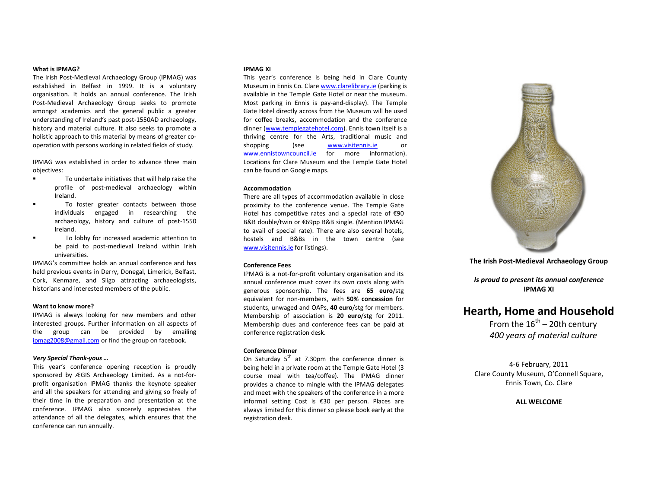# **What is IPMAG?**

 The Irish Post-Medieval Archaeology Group (IPMAG) was established in Belfast in 1999. It is a voluntary organisation. It holds an annual conference. The Irish Post-Medieval Archaeology Group seeks to promote amongst academics and the general public a greater understanding of Ireland's past post-1550AD archaeology, history and material culture. It also seeks to promote a holistic approach to this material by means of greater cooperation with persons working in related fields of study.

IPMAG was established in order to advance three main objectives:

- To undertake initiatives that will help raise the profile of post-medieval archaeology within Ireland.
- To foster greater contacts between those individuals engaged in researching the archaeology, history and culture of post-1550 Ireland.
- To lobby for increased academic attention to be paid to post-medieval Ireland within Irish universities.

IPMAG's committee holds an annual conference and has held previous events in Derry, Donegal, Limerick, Belfast, Cork, Kenmare, and Sligo attracting archaeologists,historians and interested members of the public.

## **Want to know more?**

 IPMAG is always looking for new members and other interested groups. Further information on all aspects of the group can be provided by emailing ipmag2008@gmail.com or find the group on facebook.

### *Very Special Thank-yous …*

 This year's conference opening reception is proudly sponsored by ÆGIS Archaeology Limited. As a not-for profit organisation IPMAG thanks the keynote speaker and all the speakers for attending and giving so freely of their time in the preparation and presentation at the conference. IPMAG also sincerely appreciates the attendance of all the delegates, which ensures that the conference can run annually.

## **IPMAG XI**

 This year's conference is being held in Clare County Museum in Ennis Co. Clare www.clarelibrary.ie (parking is available in the Temple Gate Hotel or near the museum. Most parking in Ennis is pay-and-display). The Temple Gate Hotel directly across from the Museum will be used for coffee breaks, accommodation and the conferencedinner (www.templegatehotel.com). Ennis town itself is a thriving centre for the Arts, traditional music andshopping (see www.visitennis.ie www.ennistowncouncil.ie for more information). Locations for Clare Museum and the Temple Gate Hotel can be found on Google maps.

#### **Accommodation**

 There are all types of accommodation available in close proximity to the conference venue. The Temple Gate Hotel has competitive rates and a special rate of €90 B&B double/twin or €69pp B&B single. (Mention IPMAG to avail of special rate). There are also several hotels, hostels and B&Bs in the town centre (see www.visitennis.ie for listings).

## **Conference Fees**

IPMAG is a not-for-profit voluntary organisation and its annual conference must cover its own costs along with generous sponsorship. The fees are **65 euro**/stg equivalent for non-members, with **50% concession** for students, unwaged and OAPs, **40 euro**/stg for members. Membership of association is **20 euro**/stg for 2011. Membership dues and conference fees can be paid at conference registration desk.

# **Conference Dinner**

On Saturday  $5^{th}$  at 7.30pm the conference dinner is being held in a private room at the Temple Gate Hotel (3 course meal with tea/coffee). The IPMAG dinner provides a chance to mingle with the IPMAG delegates and meet with the speakers of the conference in a more informal setting Cost is €30 per person. Places are always limited for this dinner so please book early at the registration desk.



**The Irish Post-Medieval Archaeology Group** 

*Is proud to present its annual conference* **IPMAG XI** 

# **Hearth, Home and Household**

From the  $16^{th}$  – 20th century *400 years of material culture* 

4-6 February, 2011 Clare County Museum, O'Connell Square, Ennis Town, Co. Clare

# **ALL WELCOME**